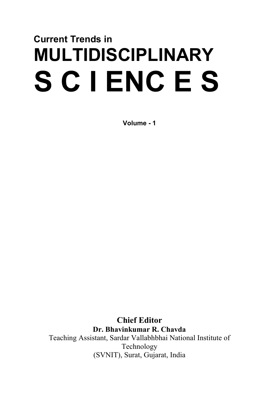## **Current Trends in MULTIDISCIPLINARY S C I ENC E S**

**Volume - 1**

**Chief Editor Dr. Bhavinkumar R. Chavda** Teaching Assistant, Sardar Vallabhbhai National Institute of Technology (SVNIT), Surat, Gujarat, India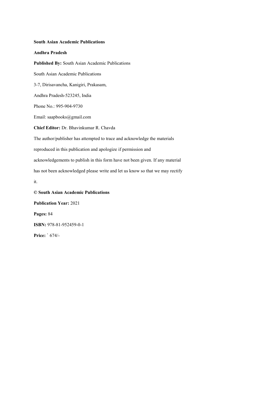## **South Asian Academic Publications**

## **Andhra Pradesh**

**Published By:** South Asian Academic Publications South Asian Academic Publications 3-7, Dirisavancha, Kanigiri, Prakasam, Andhra Pradesh-523245, India Phone No.: 995-904-9730 Email: saapbooks@gmail.com **Chief Editor:** Dr. Bhavinkumar R. Chavda The author/publisher has attempted to trace and acknowledge the materials reproduced in this publication and apologize if permission and acknowledgements to publish in this form have not been given. If any material has not been acknowledged please write and let us know so that we may rectify it. **© South Asian Academic Publications Publication Year:** 2021

**Pages:** 84 **ISBN:** 978-81-952459-0-1 **Price:** ` 674/-